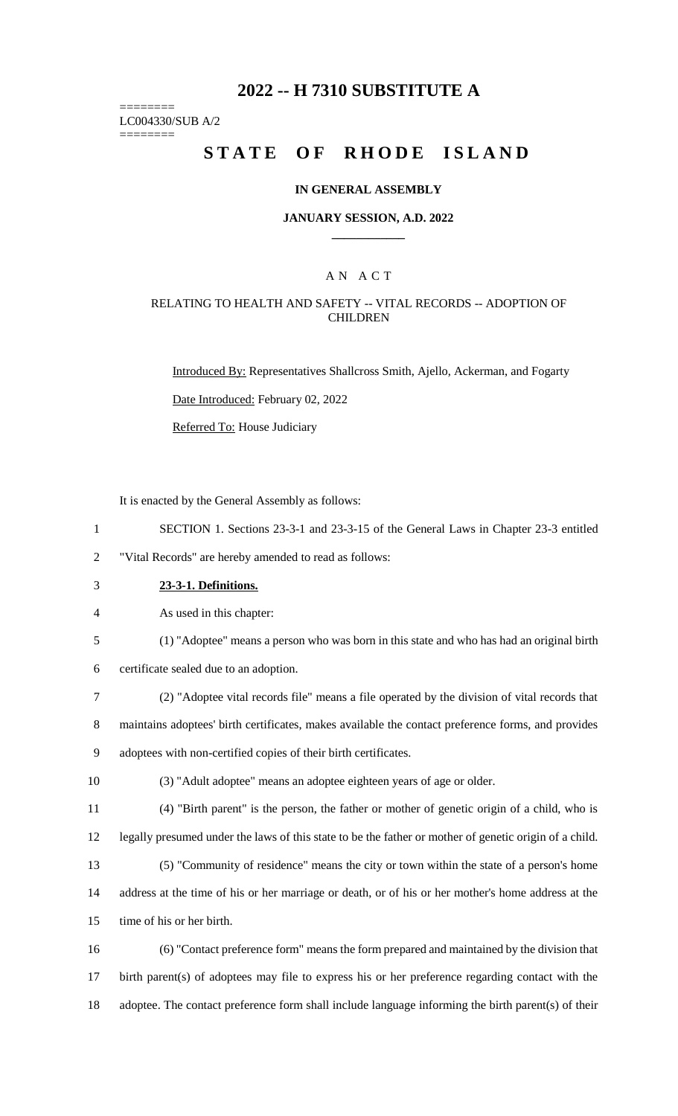# **2022 -- H 7310 SUBSTITUTE A**

======== LC004330/SUB A/2

========

# **STATE OF RHODE ISLAND**

### **IN GENERAL ASSEMBLY**

### **JANUARY SESSION, A.D. 2022 \_\_\_\_\_\_\_\_\_\_\_\_**

## A N A C T

### RELATING TO HEALTH AND SAFETY -- VITAL RECORDS -- ADOPTION OF **CHILDREN**

Introduced By: Representatives Shallcross Smith, Ajello, Ackerman, and Fogarty

Date Introduced: February 02, 2022

Referred To: House Judiciary

It is enacted by the General Assembly as follows:

1 SECTION 1. Sections 23-3-1 and 23-3-15 of the General Laws in Chapter 23-3 entitled

2 "Vital Records" are hereby amended to read as follows:

3 **23-3-1. Definitions.**

4 As used in this chapter:

5 (1) "Adoptee" means a person who was born in this state and who has had an original birth

6 certificate sealed due to an adoption.

7 (2) "Adoptee vital records file" means a file operated by the division of vital records that

8 maintains adoptees' birth certificates, makes available the contact preference forms, and provides 9 adoptees with non-certified copies of their birth certificates.

10 (3) "Adult adoptee" means an adoptee eighteen years of age or older.

11 (4) "Birth parent" is the person, the father or mother of genetic origin of a child, who is

12 legally presumed under the laws of this state to be the father or mother of genetic origin of a child.

13 (5) "Community of residence" means the city or town within the state of a person's home 14 address at the time of his or her marriage or death, or of his or her mother's home address at the

15 time of his or her birth.

16 (6) "Contact preference form" means the form prepared and maintained by the division that 17 birth parent(s) of adoptees may file to express his or her preference regarding contact with the 18 adoptee. The contact preference form shall include language informing the birth parent(s) of their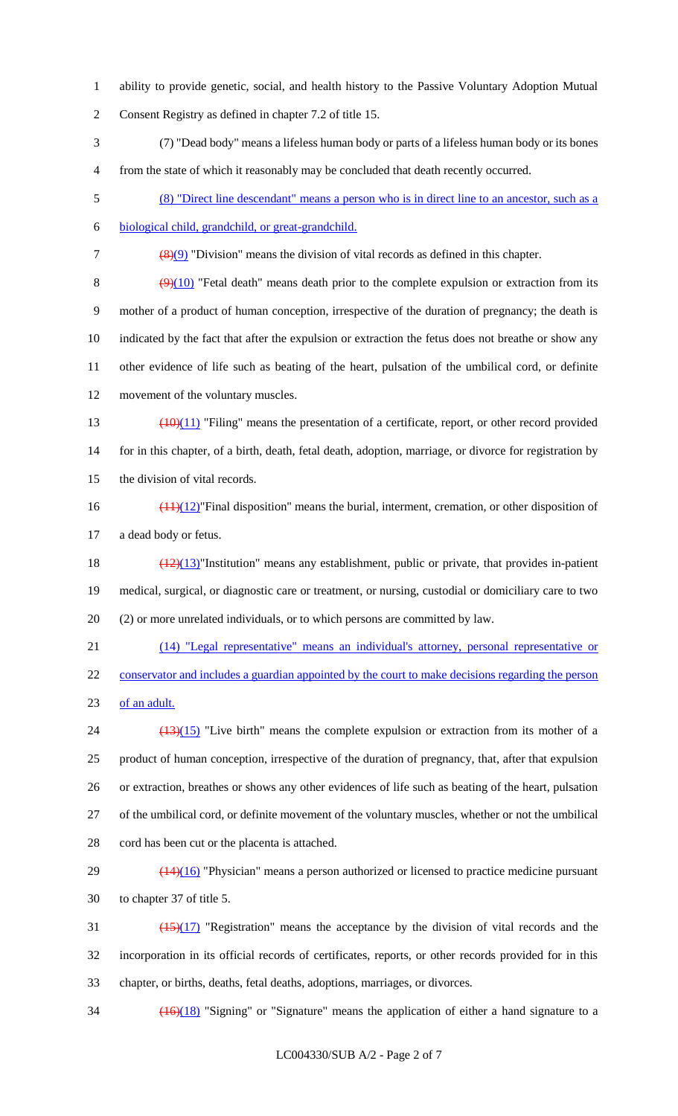- ability to provide genetic, social, and health history to the Passive Voluntary Adoption Mutual Consent Registry as defined in chapter 7.2 of title 15.
- (7) "Dead body" means a lifeless human body or parts of a lifeless human body or its bones from the state of which it reasonably may be concluded that death recently occurred.
- (8) "Direct line descendant" means a person who is in direct line to an ancestor, such as a
- biological child, grandchild, or great-grandchild.

(8)(9) "Division" means the division of vital records as defined in this chapter.

 $(9)(10)$  "Fetal death" means death prior to the complete expulsion or extraction from its mother of a product of human conception, irrespective of the duration of pregnancy; the death is indicated by the fact that after the expulsion or extraction the fetus does not breathe or show any other evidence of life such as beating of the heart, pulsation of the umbilical cord, or definite movement of the voluntary muscles.

- 13  $\left(\frac{(10)(11)}{2}\right)$  "Filing" means the presentation of a certificate, report, or other record provided 14 for in this chapter, of a birth, death, fetal death, adoption, marriage, or divorce for registration by the division of vital records.
- $\frac{(11)(12)}{11}$ "Final disposition" means the burial, interment, cremation, or other disposition of a dead body or fetus.

18 (12)(13)"Institution" means any establishment, public or private, that provides in-patient medical, surgical, or diagnostic care or treatment, or nursing, custodial or domiciliary care to two (2) or more unrelated individuals, or to which persons are committed by law.

 (14) "Legal representative" means an individual's attorney, personal representative or 22 conservator and includes a guardian appointed by the court to make decisions regarding the person of an adult.

- $\frac{(13)(15)}{24}$  "Live birth" means the complete expulsion or extraction from its mother of a product of human conception, irrespective of the duration of pregnancy, that, after that expulsion or extraction, breathes or shows any other evidences of life such as beating of the heart, pulsation of the umbilical cord, or definite movement of the voluntary muscles, whether or not the umbilical cord has been cut or the placenta is attached.
- $29 \left( \frac{(14)(16)}{2} \right)$  "Physician" means a person authorized or licensed to practice medicine pursuant to chapter 37 of title 5.
- $\frac{(15)(17)}{15}$  "Registration" means the acceptance by the division of vital records and the incorporation in its official records of certificates, reports, or other records provided for in this chapter, or births, deaths, fetal deaths, adoptions, marriages, or divorces.
- $\frac{(16)(18)}{16}$  "Signing" or "Signature" means the application of either a hand signature to a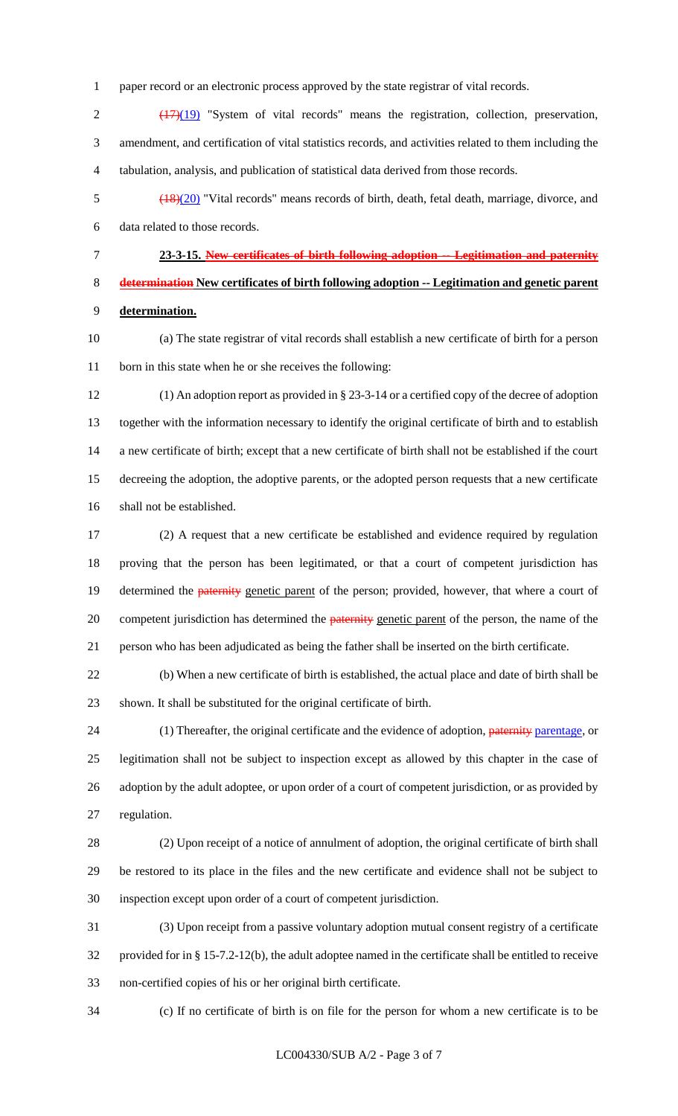paper record or an electronic process approved by the state registrar of vital records.

2 (17)(19) "System of vital records" means the registration, collection, preservation, amendment, and certification of vital statistics records, and activities related to them including the tabulation, analysis, and publication of statistical data derived from those records.

 (18)(20) "Vital records" means records of birth, death, fetal death, marriage, divorce, and data related to those records.

 **23-3-15. New certificates of birth following adoption -- Legitimation and paternity determination New certificates of birth following adoption -- Legitimation and genetic parent determination.**

 (a) The state registrar of vital records shall establish a new certificate of birth for a person born in this state when he or she receives the following:

 (1) An adoption report as provided in § 23-3-14 or a certified copy of the decree of adoption together with the information necessary to identify the original certificate of birth and to establish a new certificate of birth; except that a new certificate of birth shall not be established if the court decreeing the adoption, the adoptive parents, or the adopted person requests that a new certificate shall not be established.

 (2) A request that a new certificate be established and evidence required by regulation proving that the person has been legitimated, or that a court of competent jurisdiction has 19 determined the **paternity** genetic parent of the person; provided, however, that where a court of 20 competent jurisdiction has determined the **paternity** genetic parent of the person, the name of the person who has been adjudicated as being the father shall be inserted on the birth certificate.

 (b) When a new certificate of birth is established, the actual place and date of birth shall be shown. It shall be substituted for the original certificate of birth.

24 (1) Thereafter, the original certificate and the evidence of adoption, paternity parentage, or legitimation shall not be subject to inspection except as allowed by this chapter in the case of adoption by the adult adoptee, or upon order of a court of competent jurisdiction, or as provided by regulation.

 (2) Upon receipt of a notice of annulment of adoption, the original certificate of birth shall be restored to its place in the files and the new certificate and evidence shall not be subject to inspection except upon order of a court of competent jurisdiction.

 (3) Upon receipt from a passive voluntary adoption mutual consent registry of a certificate provided for in § 15-7.2-12(b), the adult adoptee named in the certificate shall be entitled to receive non-certified copies of his or her original birth certificate.

(c) If no certificate of birth is on file for the person for whom a new certificate is to be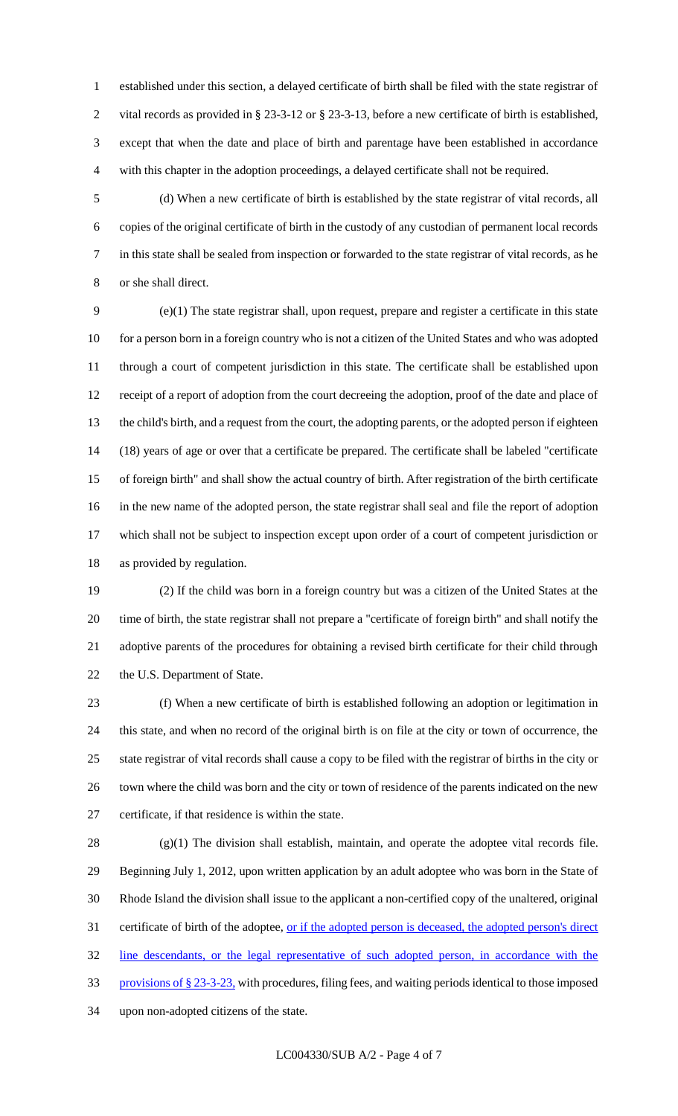established under this section, a delayed certificate of birth shall be filed with the state registrar of vital records as provided in § 23-3-12 or § 23-3-13, before a new certificate of birth is established, except that when the date and place of birth and parentage have been established in accordance with this chapter in the adoption proceedings, a delayed certificate shall not be required.

 (d) When a new certificate of birth is established by the state registrar of vital records, all copies of the original certificate of birth in the custody of any custodian of permanent local records in this state shall be sealed from inspection or forwarded to the state registrar of vital records, as he or she shall direct.

 (e)(1) The state registrar shall, upon request, prepare and register a certificate in this state 10 for a person born in a foreign country who is not a citizen of the United States and who was adopted through a court of competent jurisdiction in this state. The certificate shall be established upon receipt of a report of adoption from the court decreeing the adoption, proof of the date and place of the child's birth, and a request from the court, the adopting parents, or the adopted person if eighteen (18) years of age or over that a certificate be prepared. The certificate shall be labeled "certificate of foreign birth" and shall show the actual country of birth. After registration of the birth certificate in the new name of the adopted person, the state registrar shall seal and file the report of adoption which shall not be subject to inspection except upon order of a court of competent jurisdiction or as provided by regulation.

 (2) If the child was born in a foreign country but was a citizen of the United States at the time of birth, the state registrar shall not prepare a "certificate of foreign birth" and shall notify the adoptive parents of the procedures for obtaining a revised birth certificate for their child through the U.S. Department of State.

 (f) When a new certificate of birth is established following an adoption or legitimation in this state, and when no record of the original birth is on file at the city or town of occurrence, the state registrar of vital records shall cause a copy to be filed with the registrar of births in the city or town where the child was born and the city or town of residence of the parents indicated on the new certificate, if that residence is within the state.

 $(28 \t (g)(1)$  The division shall establish, maintain, and operate the adoptee vital records file. Beginning July 1, 2012, upon written application by an adult adoptee who was born in the State of Rhode Island the division shall issue to the applicant a non-certified copy of the unaltered, original 31 certificate of birth of the adoptee, <u>or if the adopted person is deceased, the adopted person's direct</u> line descendants, or the legal representative of such adopted person, in accordance with the provisions of § 23-3-23, with procedures, filing fees, and waiting periods identical to those imposed upon non-adopted citizens of the state.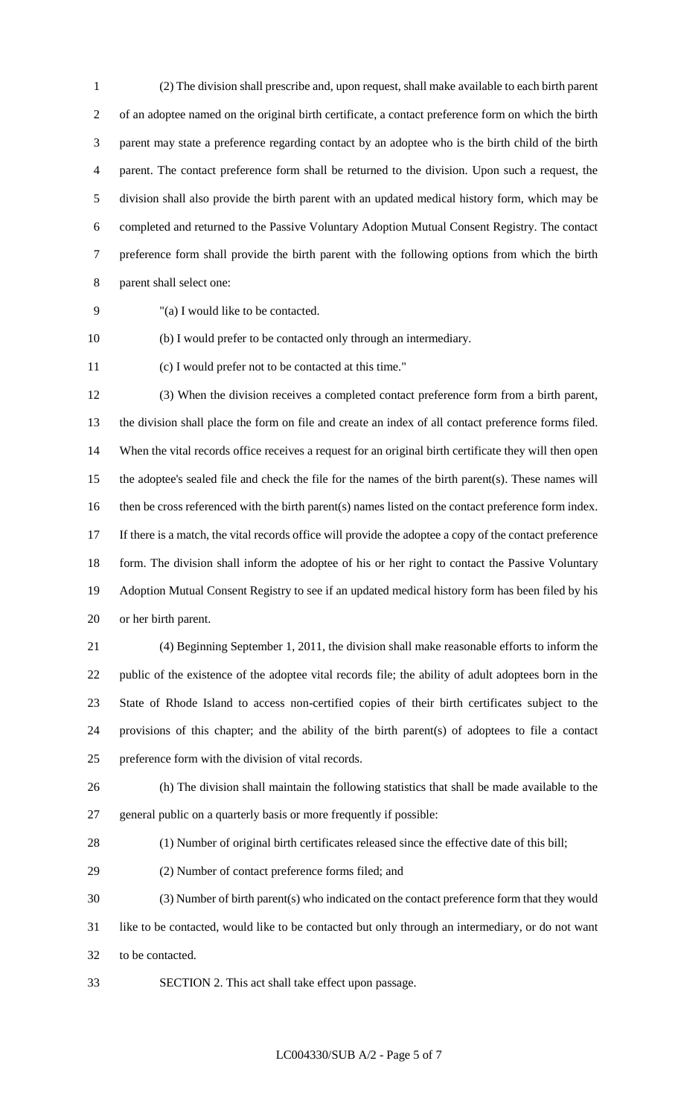(2) The division shall prescribe and, upon request, shall make available to each birth parent of an adoptee named on the original birth certificate, a contact preference form on which the birth parent may state a preference regarding contact by an adoptee who is the birth child of the birth parent. The contact preference form shall be returned to the division. Upon such a request, the division shall also provide the birth parent with an updated medical history form, which may be completed and returned to the Passive Voluntary Adoption Mutual Consent Registry. The contact preference form shall provide the birth parent with the following options from which the birth parent shall select one:

"(a) I would like to be contacted.

(b) I would prefer to be contacted only through an intermediary.

(c) I would prefer not to be contacted at this time."

 (3) When the division receives a completed contact preference form from a birth parent, the division shall place the form on file and create an index of all contact preference forms filed. When the vital records office receives a request for an original birth certificate they will then open the adoptee's sealed file and check the file for the names of the birth parent(s). These names will then be cross referenced with the birth parent(s) names listed on the contact preference form index. If there is a match, the vital records office will provide the adoptee a copy of the contact preference 18 form. The division shall inform the adoptee of his or her right to contact the Passive Voluntary Adoption Mutual Consent Registry to see if an updated medical history form has been filed by his or her birth parent.

 (4) Beginning September 1, 2011, the division shall make reasonable efforts to inform the public of the existence of the adoptee vital records file; the ability of adult adoptees born in the State of Rhode Island to access non-certified copies of their birth certificates subject to the provisions of this chapter; and the ability of the birth parent(s) of adoptees to file a contact preference form with the division of vital records.

 (h) The division shall maintain the following statistics that shall be made available to the general public on a quarterly basis or more frequently if possible:

(1) Number of original birth certificates released since the effective date of this bill;

(2) Number of contact preference forms filed; and

 (3) Number of birth parent(s) who indicated on the contact preference form that they would like to be contacted, would like to be contacted but only through an intermediary, or do not want to be contacted.

SECTION 2. This act shall take effect upon passage.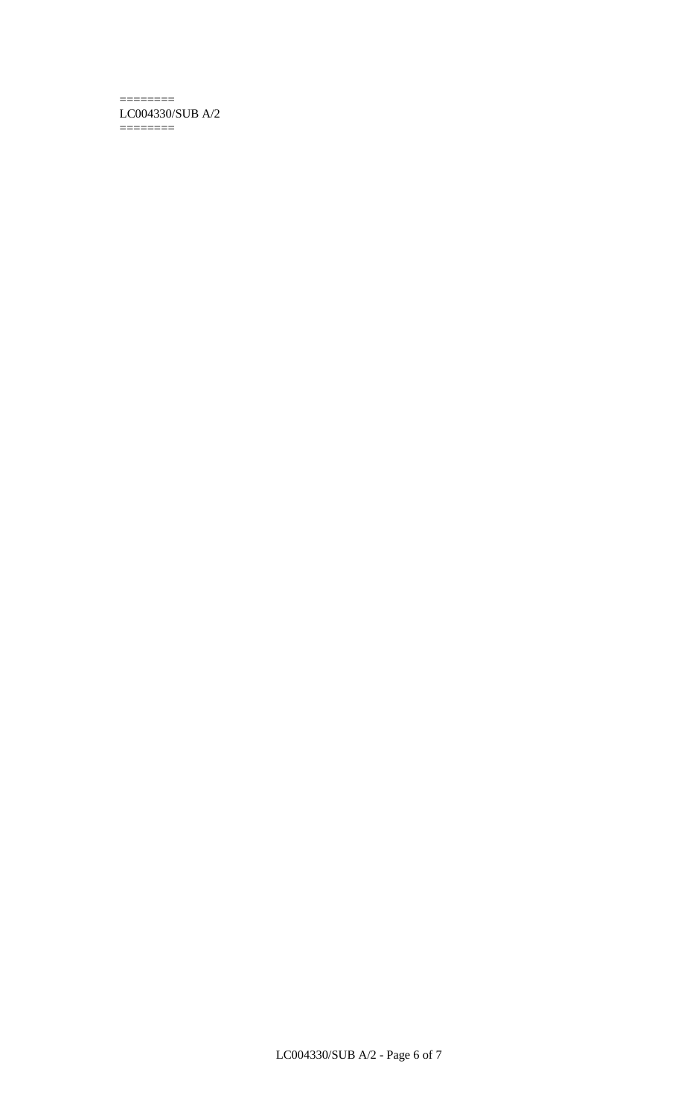#### ======== LC004330/SUB A/2 ========